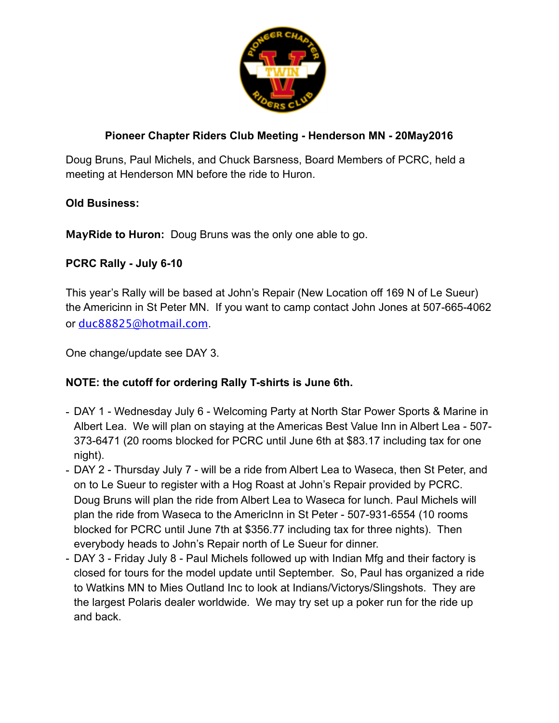

## **Pioneer Chapter Riders Club Meeting - Henderson MN - 20May2016**

Doug Bruns, Paul Michels, and Chuck Barsness, Board Members of PCRC, held a meeting at Henderson MN before the ride to Huron.

## **Old Business:**

**MayRide to Huron:** Doug Bruns was the only one able to go.

## **PCRC Rally - July 6-10**

This year's Rally will be based at John's Repair (New Location off 169 N of Le Sueur) the Americinn in St Peter MN. If you want to camp contact John Jones at 507-665-4062 or [duc88825@hotmail.com](mailto:duc88825@hotmail.com).

One change/update see DAY 3.

## **NOTE: the cutoff for ordering Rally T-shirts is June 6th.**

- DAY 1 Wednesday July 6 Welcoming Party at North Star Power Sports & Marine in Albert Lea. We will plan on staying at the Americas Best Value Inn in Albert Lea - 507- 373-6471 (20 rooms blocked for PCRC until June 6th at \$83.17 including tax for one night).
- DAY 2 Thursday July 7 will be a ride from Albert Lea to Waseca, then St Peter, and on to Le Sueur to register with a Hog Roast at John's Repair provided by PCRC. Doug Bruns will plan the ride from Albert Lea to Waseca for lunch. Paul Michels will plan the ride from Waseca to the AmericInn in St Peter - 507-931-6554 (10 rooms blocked for PCRC until June 7th at \$356.77 including tax for three nights). Then everybody heads to John's Repair north of Le Sueur for dinner.
- DAY 3 Friday July 8 Paul Michels followed up with Indian Mfg and their factory is closed for tours for the model update until September. So, Paul has organized a ride to Watkins MN to Mies Outland Inc to look at Indians/Victorys/Slingshots. They are the largest Polaris dealer worldwide. We may try set up a poker run for the ride up and back.